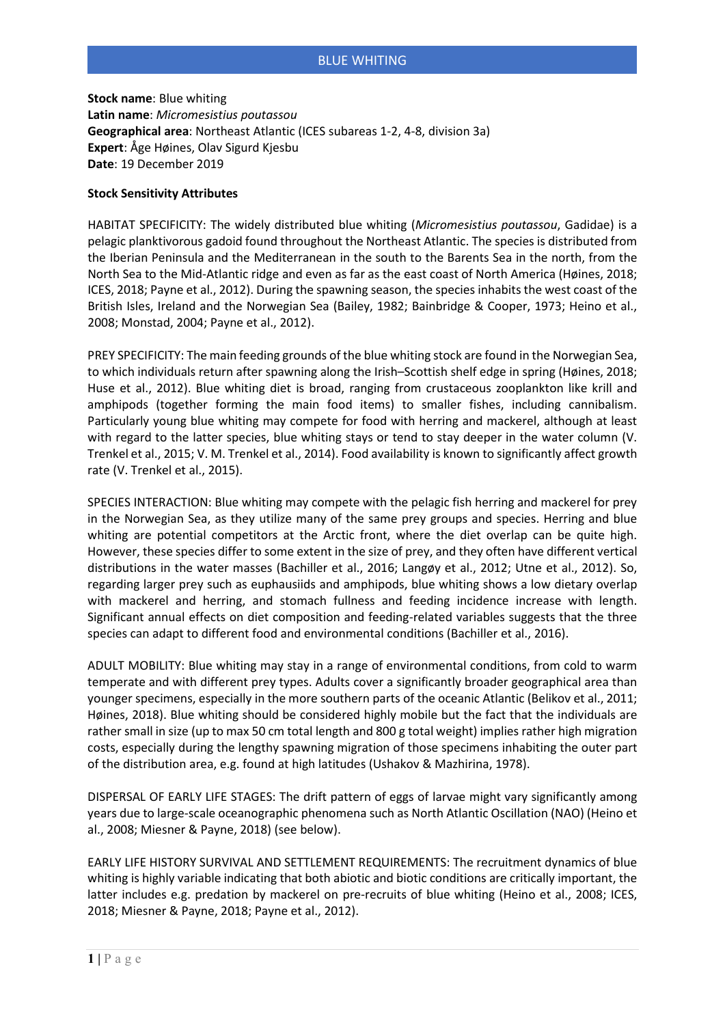## BLUE WHITING

**Stock name**: Blue whiting **Latin name**: *Micromesistius poutassou* **Geographical area**: Northeast Atlantic (ICES subareas 1-2, 4-8, division 3a) **Expert**: Åge Høines, Olav Sigurd Kjesbu **Date**: 19 December 2019

## **Stock Sensitivity Attributes**

HABITAT SPECIFICITY: The widely distributed blue whiting (*Micromesistius poutassou*, Gadidae) is a pelagic planktivorous gadoid found throughout the Northeast Atlantic. The species is distributed from the Iberian Peninsula and the Mediterranean in the south to the Barents Sea in the north, from the North Sea to the Mid-Atlantic ridge and even as far as the east coast of North America (Høines, 2018; ICES, 2018; Payne et al., 2012). During the spawning season, the species inhabits the west coast of the British Isles, Ireland and the Norwegian Sea (Bailey, 1982; Bainbridge & Cooper, 1973; Heino et al., 2008; Monstad, 2004; Payne et al., 2012).

PREY SPECIFICITY: The main feeding grounds of the blue whiting stock are found in the Norwegian Sea, to which individuals return after spawning along the Irish–Scottish shelf edge in spring (Høines, 2018; Huse et al., 2012). Blue whiting diet is broad, ranging from crustaceous zooplankton like krill and amphipods (together forming the main food items) to smaller fishes, including cannibalism. Particularly young blue whiting may compete for food with herring and mackerel, although at least with regard to the latter species, blue whiting stays or tend to stay deeper in the water column (V. Trenkel et al., 2015; V. M. Trenkel et al., 2014). Food availability is known to significantly affect growth rate (V. Trenkel et al., 2015).

SPECIES INTERACTION: Blue whiting may compete with the pelagic fish herring and mackerel for prey in the Norwegian Sea, as they utilize many of the same prey groups and species. Herring and blue whiting are potential competitors at the Arctic front, where the diet overlap can be quite high. However, these species differ to some extent in the size of prey, and they often have different vertical distributions in the water masses (Bachiller et al., 2016; Langøy et al., 2012; Utne et al., 2012). So, regarding larger prey such as euphausiids and amphipods, blue whiting shows a low dietary overlap with mackerel and herring, and stomach fullness and feeding incidence increase with length. Significant annual effects on diet composition and feeding-related variables suggests that the three species can adapt to different food and environmental conditions (Bachiller et al., 2016).

ADULT MOBILITY: Blue whiting may stay in a range of environmental conditions, from cold to warm temperate and with different prey types. Adults cover a significantly broader geographical area than younger specimens, especially in the more southern parts of the oceanic Atlantic (Belikov et al., 2011; Høines, 2018). Blue whiting should be considered highly mobile but the fact that the individuals are rather small in size (up to max 50 cm total length and 800 g total weight) implies rather high migration costs, especially during the lengthy spawning migration of those specimens inhabiting the outer part of the distribution area, e.g. found at high latitudes (Ushakov & Mazhirina, 1978).

DISPERSAL OF EARLY LIFE STAGES: The drift pattern of eggs of larvae might vary significantly among years due to large-scale oceanographic phenomena such as North Atlantic Oscillation (NAO) (Heino et al., 2008; Miesner & Payne, 2018) (see below).

EARLY LIFE HISTORY SURVIVAL AND SETTLEMENT REQUIREMENTS: The recruitment dynamics of blue whiting is highly variable indicating that both abiotic and biotic conditions are critically important, the latter includes e.g. predation by mackerel on pre-recruits of blue whiting (Heino et al., 2008; ICES, 2018; Miesner & Payne, 2018; Payne et al., 2012).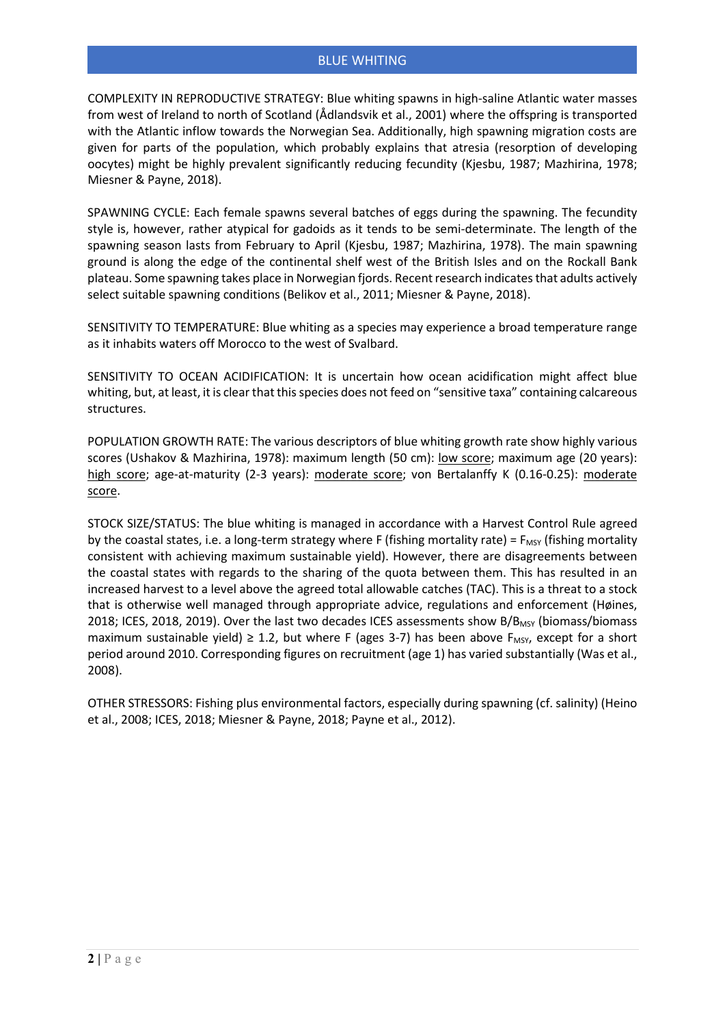COMPLEXITY IN REPRODUCTIVE STRATEGY: Blue whiting spawns in high-saline Atlantic water masses from west of Ireland to north of Scotland (Ådlandsvik et al., 2001) where the offspring is transported with the Atlantic inflow towards the Norwegian Sea. Additionally, high spawning migration costs are given for parts of the population, which probably explains that atresia (resorption of developing oocytes) might be highly prevalent significantly reducing fecundity (Kjesbu, 1987; Mazhirina, 1978; Miesner & Payne, 2018).

SPAWNING CYCLE: Each female spawns several batches of eggs during the spawning. The fecundity style is, however, rather atypical for gadoids as it tends to be semi-determinate. The length of the spawning season lasts from February to April (Kjesbu, 1987; Mazhirina, 1978). The main spawning ground is along the edge of the continental shelf west of the British Isles and on the Rockall Bank plateau. Some spawning takes place in Norwegian fjords. Recent research indicates that adults actively select suitable spawning conditions (Belikov et al., 2011; Miesner & Payne, 2018).

SENSITIVITY TO TEMPERATURE: Blue whiting as a species may experience a broad temperature range as it inhabits waters off Morocco to the west of Svalbard.

SENSITIVITY TO OCEAN ACIDIFICATION: It is uncertain how ocean acidification might affect blue whiting, but, at least, it is clear that this species does not feed on "sensitive taxa" containing calcareous structures.

POPULATION GROWTH RATE: The various descriptors of blue whiting growth rate show highly various scores (Ushakov & Mazhirina, 1978): maximum length (50 cm): low score; maximum age (20 years): high score; age-at-maturity (2-3 years): moderate score; von Bertalanffy K (0.16-0.25): moderate score.

STOCK SIZE/STATUS: The blue whiting is managed in accordance with a Harvest Control Rule agreed by the coastal states, i.e. a long-term strategy where F (fishing mortality rate) =  $F_{MSV}$  (fishing mortality consistent with achieving maximum sustainable yield). However, there are disagreements between the coastal states with regards to the sharing of the quota between them. This has resulted in an increased harvest to a level above the agreed total allowable catches (TAC). This is a threat to a stock that is otherwise well managed through appropriate advice, regulations and enforcement (Høines, 2018; ICES, 2018, 2019). Over the last two decades ICES assessments show B/B<sub>MSY</sub> (biomass/biomass maximum sustainable yield)  $\geq$  1.2, but where F (ages 3-7) has been above F<sub>MSY</sub>, except for a short period around 2010. Corresponding figures on recruitment (age 1) has varied substantially (Was et al., 2008).

OTHER STRESSORS: Fishing plus environmental factors, especially during spawning (cf. salinity) (Heino et al., 2008; ICES, 2018; Miesner & Payne, 2018; Payne et al., 2012).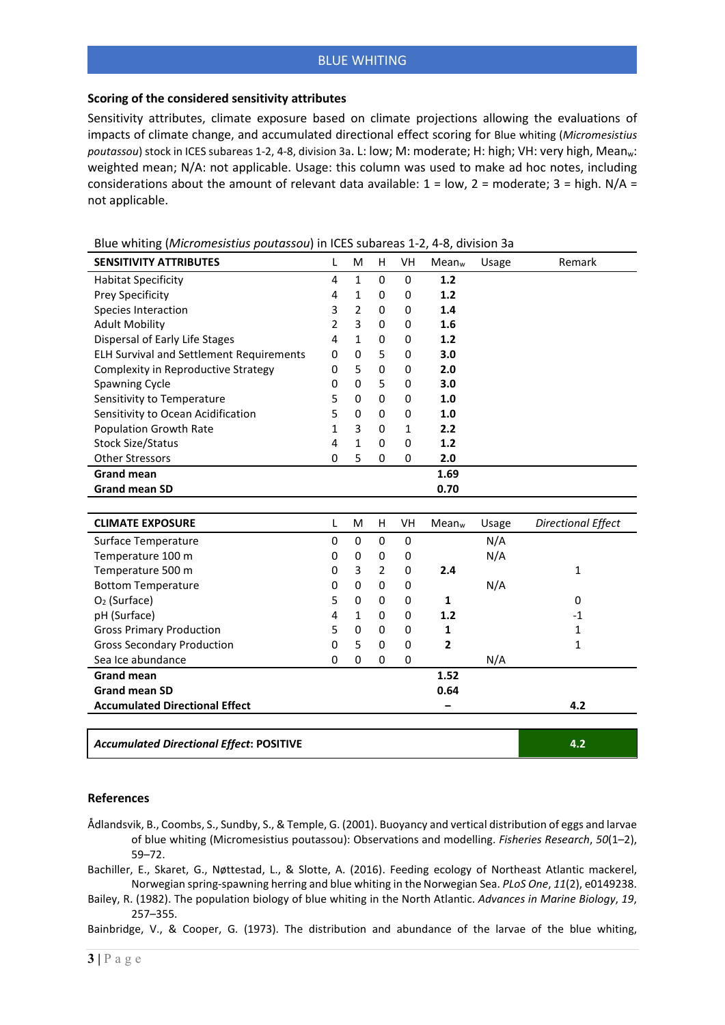## **Scoring of the considered sensitivity attributes**

Sensitivity attributes, climate exposure based on climate projections allowing the evaluations of impacts of climate change, and accumulated directional effect scoring for Blue whiting (*Micromesistius poutassou*) stock in ICES subareas 1-2, 4-8, division 3a. L: low; M: moderate; H: high; VH: very high, Meanw: weighted mean; N/A: not applicable. Usage: this column was used to make ad hoc notes, including considerations about the amount of relevant data available:  $1 = low$ ,  $2 = moderate$ ;  $3 = high$ .  $N/A =$ not applicable.

| <b>SENSITIVITY ATTRIBUTES</b>                   | L | M              | н              | VH          | Mean <sub>w</sub> | Usage | Remark                    |
|-------------------------------------------------|---|----------------|----------------|-------------|-------------------|-------|---------------------------|
| <b>Habitat Specificity</b>                      | 4 | $\mathbf{1}$   | 0              | $\mathbf 0$ | 1.2               |       |                           |
| Prey Specificity                                | 4 | $\mathbf{1}$   | 0              | $\mathbf 0$ | 1.2               |       |                           |
| Species Interaction                             | 3 | $\overline{2}$ | $\mathbf 0$    | $\mathbf 0$ | 1.4               |       |                           |
| <b>Adult Mobility</b>                           | 2 | 3              | 0              | 0           | 1.6               |       |                           |
| Dispersal of Early Life Stages                  | 4 | $\mathbf{1}$   | 0              | 0           | 1.2               |       |                           |
| <b>ELH Survival and Settlement Requirements</b> | 0 | $\Omega$       | 5              | 0           | 3.0               |       |                           |
| Complexity in Reproductive Strategy             | 0 | 5              | 0              | $\mathbf 0$ | 2.0               |       |                           |
| Spawning Cycle                                  | 0 | 0              | 5              | 0           | 3.0               |       |                           |
| Sensitivity to Temperature                      | 5 | 0              | 0              | 0           | 1.0               |       |                           |
| Sensitivity to Ocean Acidification              | 5 | 0              | $\mathbf 0$    | $\mathbf 0$ | 1.0               |       |                           |
| <b>Population Growth Rate</b>                   | 1 | 3              | 0              | 1           | 2.2               |       |                           |
| <b>Stock Size/Status</b>                        | 4 | $\mathbf{1}$   | 0              | $\mathbf 0$ | 1.2               |       |                           |
| <b>Other Stressors</b>                          | 0 | 5              | 0              | 0           | 2.0               |       |                           |
| <b>Grand mean</b>                               |   |                |                |             | 1.69              |       |                           |
| <b>Grand mean SD</b>                            |   |                |                |             | 0.70              |       |                           |
|                                                 |   |                |                |             |                   |       |                           |
| <b>CLIMATE EXPOSURE</b>                         | L | M              | H              | VH          | Mean <sub>w</sub> | Usage | <b>Directional Effect</b> |
| Surface Temperature                             | 0 | 0              | 0              | 0           |                   | N/A   |                           |
| Temperature 100 m                               | 0 | 0              | 0              | 0           |                   | N/A   |                           |
| Temperature 500 m                               | 0 | 3              | $\overline{2}$ | $\mathbf 0$ | 2.4               |       | 1                         |
| <b>Bottom Temperature</b>                       | 0 | 0              | 0              | 0           |                   | N/A   |                           |
| O <sub>2</sub> (Surface)                        | 5 | 0              | 0              | 0           | 1                 |       | 0                         |
| pH (Surface)                                    | 4 | 1              | 0              | 0           | 1.2               |       | $-1$                      |
| <b>Gross Primary Production</b>                 | 5 | 0              | 0              | 0           | 1                 |       | 1                         |
| <b>Gross Secondary Production</b>               | 0 | 5              | 0              | $\mathbf 0$ | $\mathbf{2}$      |       | $\mathbf{1}$              |
| Sea Ice abundance                               | 0 | 0              | 0              | 0           |                   | N/A   |                           |
| <b>Grand mean</b>                               |   |                |                |             | 1.52              |       |                           |
| <b>Grand mean SD</b>                            |   |                |                |             | 0.64              |       |                           |
| <b>Accumulated Directional Effect</b>           |   |                |                |             |                   |       | 4.2                       |
|                                                 |   |                |                |             |                   |       |                           |
| <b>Accumulated Directional Effect: POSITIVE</b> |   |                |                |             |                   |       | 4.2                       |

Blue whiting (*Micromesistius poutassou*) in ICES subareas 1-2, 4-8, division 3a

## **References**

- Ådlandsvik, B., Coombs, S., Sundby, S., & Temple, G. (2001). Buoyancy and vertical distribution of eggs and larvae of blue whiting (Micromesistius poutassou): Observations and modelling. *Fisheries Research*, *50*(1–2), 59–72.
- Bachiller, E., Skaret, G., Nøttestad, L., & Slotte, A. (2016). Feeding ecology of Northeast Atlantic mackerel, Norwegian spring-spawning herring and blue whiting in the Norwegian Sea. *PLoS One*, *11*(2), e0149238.
- Bailey, R. (1982). The population biology of blue whiting in the North Atlantic. *Advances in Marine Biology*, *19*, 257–355.

Bainbridge, V., & Cooper, G. (1973). The distribution and abundance of the larvae of the blue whiting,